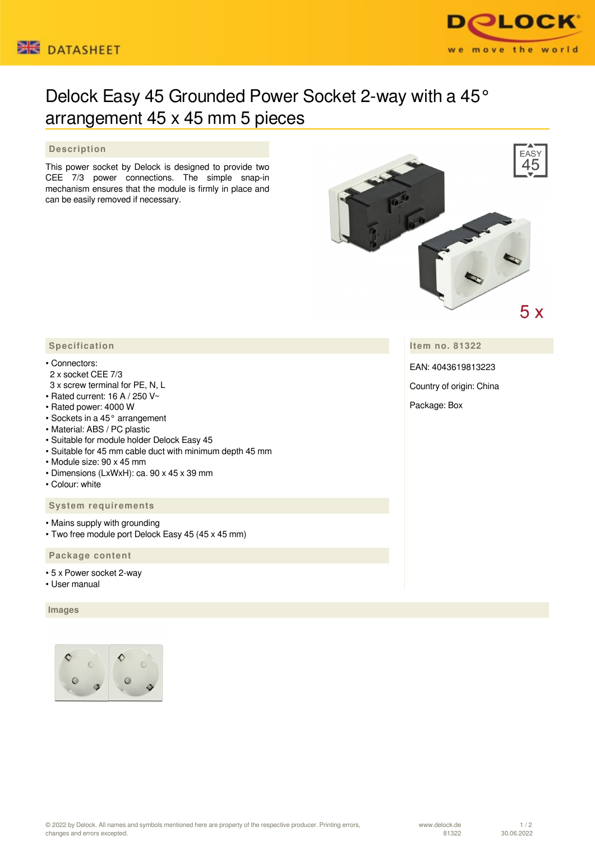



# Delock Easy 45 Grounded Power Socket 2-way with a 45° arrangement 45 x 45 mm 5 pieces

# **Description**

This power socket by Delock is designed to provide two CEE 7/3 power connections. The simple snap-in mechanism ensures that the module is firmly in place and can be easily removed if necessary.



**Item no. 81322**

EAN: 4043619813223

Country of origin: China

#### Package: Box

# **Specification**

#### • Connectors:

- 2 x socket CEE 7/3 3 x screw terminal for PE, N, L
- Rated current: 16 A / 250 V~
- Rated power: 4000 W
- Sockets in a 45° arrangement
- Material: ABS / PC plastic
- Suitable for module holder Delock Easy 45
- Suitable for 45 mm cable duct with minimum depth 45 mm
- Module size: 90 x 45 mm
- Dimensions (LxWxH): ca. 90 x 45 x 39 mm
- Colour: white

### **System requirements**

- Mains supply with grounding
- Two free module port Delock Easy 45 (45 x 45 mm)

# **Package content**

- 5 x Power socket 2-way
- User manual

#### **Images**